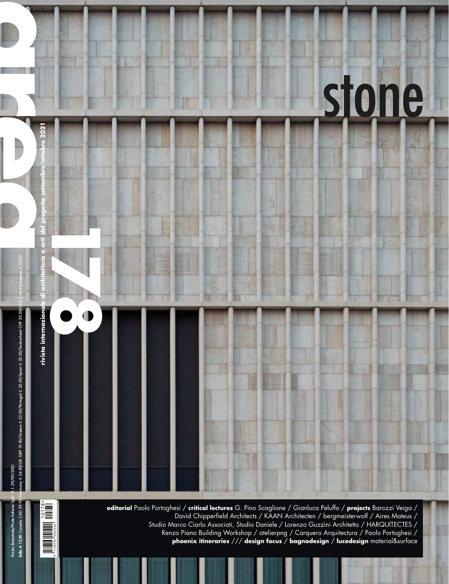

David Chipperfield Architects / KAAN Architecten / bergmeisterwolf / Aires Mateus / Studio Marco Ciarlo Associati, Studio Daniele / Lorenzo Guzzini Architetto / HARQUITECTES / Renzo Piano Building Workshop / atelierpng / Carquero Arquitectura / Paolo Portoghesi / **phoenix itineraries** /// **design focus** / **bagnodesign** / **lucedesign** material&surface

770394 9 005004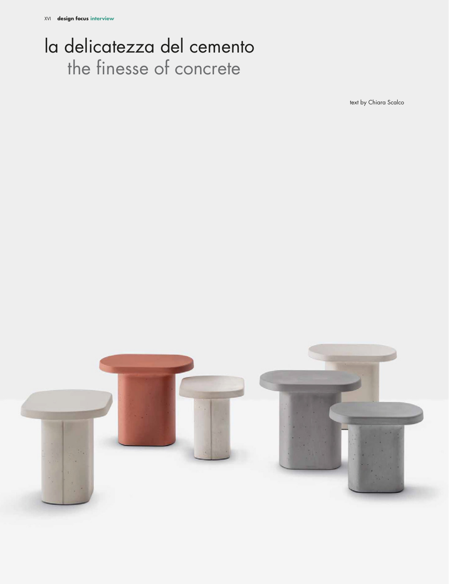## la delicatezza del cemento the finesse of concrete

text by Chiara Scalco